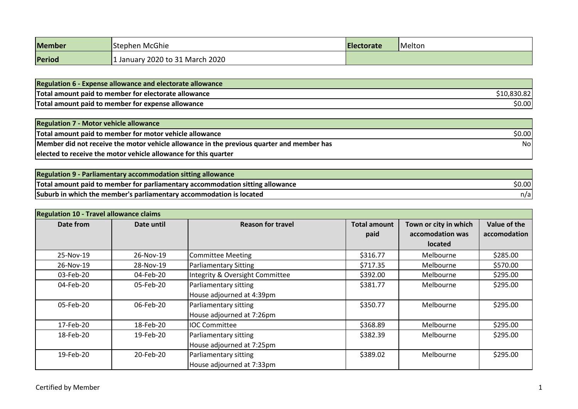| <b>Member</b> | <b>Stephen McGhie</b>           | <b>Electorate</b> | Melton |
|---------------|---------------------------------|-------------------|--------|
| Period        | 1 January 2020 to 31 March 2020 |                   |        |

| <b>Regulation 6 - Expense allowance and electorate allowance</b> |             |
|------------------------------------------------------------------|-------------|
| Total amount paid to member for electorate allowance             | \$10,830.82 |
| Total amount paid to member for expense allowance                | \$0.00      |

| <b>Regulation 7 - Motor vehicle allowance</b>                                             |        |
|-------------------------------------------------------------------------------------------|--------|
| Total amount paid to member for motor vehicle allowance                                   | \$0.00 |
| Member did not receive the motor vehicle allowance in the previous quarter and member has | Nol    |
| elected to receive the motor vehicle allowance for this quarter                           |        |

| Regulation 9 - Parliamentary accommodation sitting allowance                  |        |
|-------------------------------------------------------------------------------|--------|
| Total amount paid to member for parliamentary accommodation sitting allowance | \$0.00 |
| Suburb in which the member's parliamentary accommodation is located           | n/ai   |

| <b>Regulation 10 - Travel allowance claims</b> |            |                                                 |          |                       |              |
|------------------------------------------------|------------|-------------------------------------------------|----------|-----------------------|--------------|
| Date from                                      | Date until | <b>Total amount</b><br><b>Reason for travel</b> |          | Town or city in which | Value of the |
|                                                |            |                                                 | paid     | accomodation was      | accomodation |
|                                                |            |                                                 |          | <b>located</b>        |              |
| 25-Nov-19                                      | 26-Nov-19  | <b>Committee Meeting</b>                        | \$316.77 | Melbourne             | \$285.00     |
| 26-Nov-19                                      | 28-Nov-19  | <b>Parliamentary Sitting</b>                    | \$717.35 | Melbourne             | \$570.00     |
| 03-Feb-20                                      | 04-Feb-20  | Integrity & Oversight Committee                 | \$392.00 | Melbourne             | \$295.00     |
| 04-Feb-20                                      | 05-Feb-20  | Parliamentary sitting                           | \$381.77 | \$295.00<br>Melbourne |              |
|                                                |            | House adjourned at 4:39pm                       |          |                       |              |
| 05-Feb-20                                      | 06-Feb-20  | Parliamentary sitting                           | \$350.77 | Melbourne             | \$295.00     |
|                                                |            | House adjourned at 7:26pm                       |          |                       |              |
| 17-Feb-20                                      | 18-Feb-20  | <b>IOC Committee</b>                            | \$368.89 | Melbourne             | \$295.00     |
| 18-Feb-20                                      | 19-Feb-20  | Parliamentary sitting                           | \$382.39 | Melbourne             | \$295.00     |
|                                                |            | House adjourned at 7:25pm                       |          |                       |              |
| 19-Feb-20                                      | 20-Feb-20  | Parliamentary sitting                           | \$389.02 | Melbourne             | \$295.00     |
|                                                |            | House adjourned at 7:33pm                       |          |                       |              |